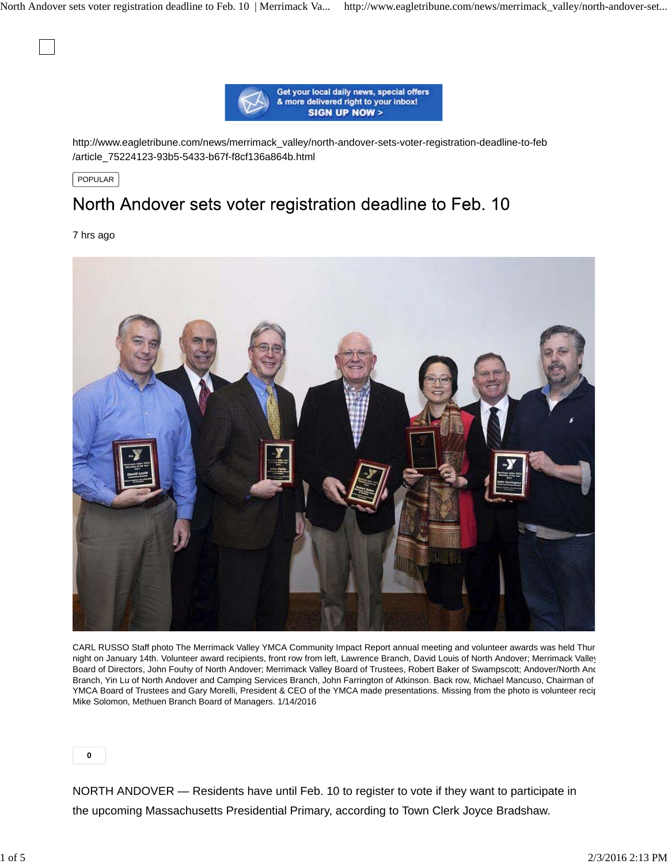

http://www.eagletribune.com/news/merrimack\_valley/north-andover-sets-voter-registration-deadline-to-feb /article\_75224123-93b5-5433-b67f-f8cf136a864b.html

POPULAR

# North Andover sets voter registration deadline to Feb. 10

7 hrs ago



CARL RUSSO Staff photo The Merrimack Valley YMCA Community Impact Report annual meeting and volunteer awards was held Thur night on January 14th. Volunteer award recipients, front row from left, Lawrence Branch, David Louis of North Andover; Merrimack Valley Board of Directors, John Fouhy of North Andover; Merrimack Valley Board of Trustees, Robert Baker of Swampscott; Andover/North And Branch, Yin Lu of North Andover and Camping Services Branch, John Farrington of Atkinson. Back row, Michael Mancuso, Chairman of YMCA Board of Trustees and Gary Morelli, President & CEO of the YMCA made presentations. Missing from the photo is volunteer recip Mike Solomon, Methuen Branch Board of Managers. 1/14/2016

**0**

NORTH ANDOVER — Residents have until Feb. 10 to register to vote if they want to participate in the upcoming Massachusetts Presidential Primary, according to Town Clerk Joyce Bradshaw.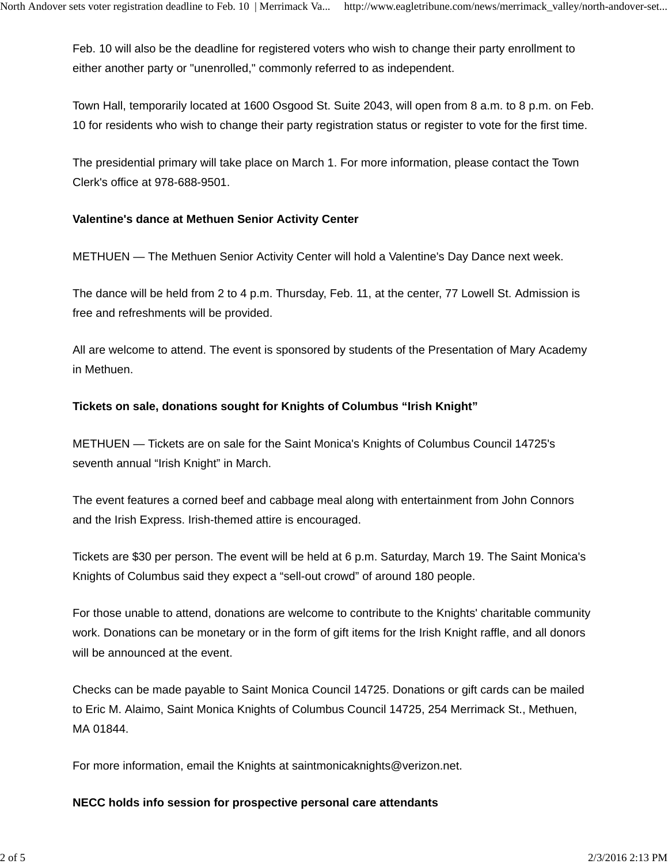Feb. 10 will also be the deadline for registered voters who wish to change their party enrollment to either another party or "unenrolled," commonly referred to as independent.

Town Hall, temporarily located at 1600 Osgood St. Suite 2043, will open from 8 a.m. to 8 p.m. on Feb. 10 for residents who wish to change their party registration status or register to vote for the first time.

The presidential primary will take place on March 1. For more information, please contact the Town Clerk's office at 978-688-9501.

## **Valentine's dance at Methuen Senior Activity Center**

METHUEN — The Methuen Senior Activity Center will hold a Valentine's Day Dance next week.

The dance will be held from 2 to 4 p.m. Thursday, Feb. 11, at the center, 77 Lowell St. Admission is free and refreshments will be provided.

All are welcome to attend. The event is sponsored by students of the Presentation of Mary Academy in Methuen.

## **Tickets on sale, donations sought for Knights of Columbus "Irish Knight"**

METHUEN — Tickets are on sale for the Saint Monica's Knights of Columbus Council 14725's seventh annual "Irish Knight" in March.

The event features a corned beef and cabbage meal along with entertainment from John Connors and the Irish Express. Irish-themed attire is encouraged.

Tickets are \$30 per person. The event will be held at 6 p.m. Saturday, March 19. The Saint Monica's Knights of Columbus said they expect a "sell-out crowd" of around 180 people.

For those unable to attend, donations are welcome to contribute to the Knights' charitable community work. Donations can be monetary or in the form of gift items for the Irish Knight raffle, and all donors will be announced at the event.

Checks can be made payable to Saint Monica Council 14725. Donations or gift cards can be mailed to Eric M. Alaimo, Saint Monica Knights of Columbus Council 14725, 254 Merrimack St., Methuen, MA 01844.

For more information, email the Knights at saintmonicaknights@verizon.net.

## **NECC holds info session for prospective personal care attendants**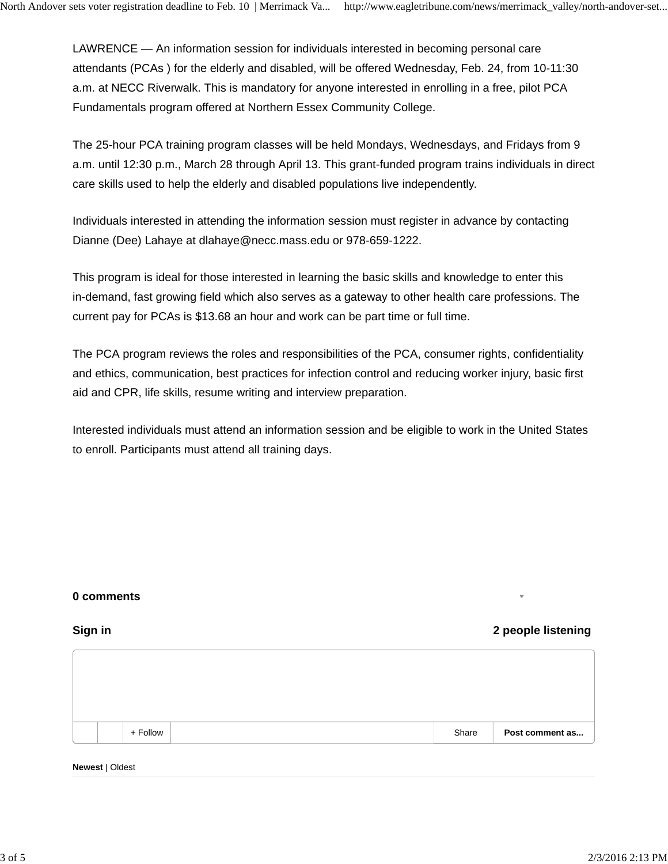LAWRENCE — An information session for individuals interested in becoming personal care attendants (PCAs ) for the elderly and disabled, will be offered Wednesday, Feb. 24, from 10-11:30 a.m. at NECC Riverwalk. This is mandatory for anyone interested in enrolling in a free, pilot PCA Fundamentals program offered at Northern Essex Community College.

The 25-hour PCA training program classes will be held Mondays, Wednesdays, and Fridays from 9 a.m. until 12:30 p.m., March 28 through April 13. This grant-funded program trains individuals in direct care skills used to help the elderly and disabled populations live independently.

Individuals interested in attending the information session must register in advance by contacting Dianne (Dee) Lahaye at dlahaye@necc.mass.edu or 978-659-1222.

This program is ideal for those interested in learning the basic skills and knowledge to enter this in-demand, fast growing field which also serves as a gateway to other health care professions. The current pay for PCAs is \$13.68 an hour and work can be part time or full time.

The PCA program reviews the roles and responsibilities of the PCA, consumer rights, confidentiality and ethics, communication, best practices for infection control and reducing worker injury, basic first aid and CPR, life skills, resume writing and interview preparation.

Interested individuals must attend an information session and be eligible to work in the United States to enroll. Participants must attend all training days.

## **0 comments**

**Sign in 2 people listening**

|  | + Follow | Share | Post comment as |
|--|----------|-------|-----------------|

#### **Newest** | Oldest